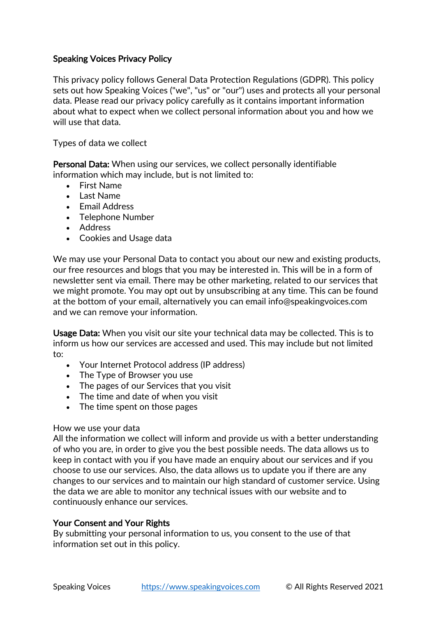# Speaking Voices Privacy Policy

This privacy policy follows General Data Protection Regulations (GDPR). This policy sets out how Speaking Voices ("we", "us" or "our") uses and protects all your personal data. Please read our privacy policy carefully as it contains important information about what to expect when we collect personal information about you and how we will use that data.

Types of data we collect

Personal Data: When using our services, we collect personally identifiable information which may include, but is not limited to:

- First Name
- Last Name
- Email Address
- Telephone Number
- Address
- Cookies and Usage data

We may use your Personal Data to contact you about our new and existing products, our free resources and blogs that you may be interested in. This will be in a form of newsletter sent via email. There may be other marketing, related to our services that we might promote. You may opt out by unsubscribing at any time. This can be found at the bottom of your email, alternatively you can email info@speakingvoices.com and we can remove your information.

Usage Data: When you visit our site your technical data may be collected. This is to inform us how our services are accessed and used. This may include but not limited to:

- Your Internet Protocol address (IP address)
- The Type of Browser you use
- The pages of our Services that you visit
- The time and date of when you visit
- The time spent on those pages

## How we use your data

All the information we collect will inform and provide us with a better understanding of who you are, in order to give you the best possible needs. The data allows us to keep in contact with you if you have made an enquiry about our services and if you choose to use our services. Also, the data allows us to update you if there are any changes to our services and to maintain our high standard of customer service. Using the data we are able to monitor any technical issues with our website and to continuously enhance our services.

# Your Consent and Your Rights

By submitting your personal information to us, you consent to the use of that information set out in this policy.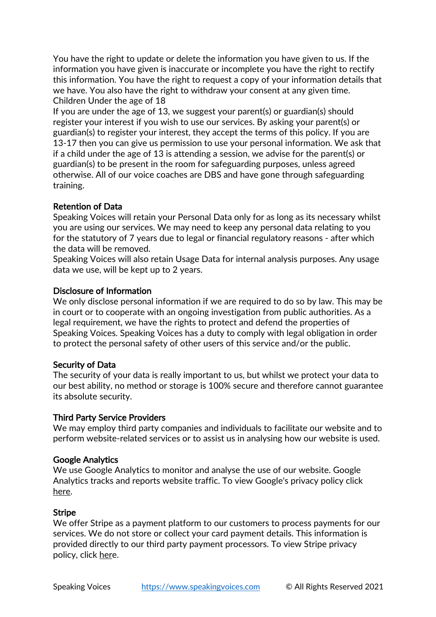You have the right to update or delete the information you have given to us. If the information you have given is inaccurate or incomplete you have the right to rectify this information. You have the right to request a copy of your information details that we have. You also have the right to withdraw your consent at any given time. Children Under the age of 18

If you are under the age of 13, we suggest your parent(s) or guardian(s) should register your interest if you wish to use our services. By asking your parent(s) or guardian(s) to register your interest, they accept the terms of this policy. If you are 13-17 then you can give us permission to use your personal information. We ask that if a child under the age of 13 is attending a session, we advise for the parent(s) or guardian(s) to be present in the room for safeguarding purposes, unless agreed otherwise. All of our voice coaches are DBS and have gone through safeguarding training.

### Retention of Data

Speaking Voices will retain your Personal Data only for as long as its necessary whilst you are using our services. We may need to keep any personal data relating to you for the statutory of 7 years due to legal or financial regulatory reasons - after which the data will be removed.

Speaking Voices will also retain Usage Data for internal analysis purposes. Any usage data we use, will be kept up to 2 years.

### Disclosure of Information

We only disclose personal information if we are required to do so by law. This may be in court or to cooperate with an ongoing investigation from public authorities. As a legal requirement, we have the rights to protect and defend the properties of Speaking Voices. Speaking Voices has a duty to comply with legal obligation in order to protect the personal safety of other users of this service and/or the public.

## Security of Data

The security of your data is really important to us, but whilst we protect your data to our best ability, no method or storage is 100% secure and therefore cannot guarantee its absolute security.

#### Third Party Service Providers

We may employ third party companies and individuals to facilitate our website and to perform website-related services or to assist us in analysing how our website is used.

#### Google Analytics

We use Google Analytics to monitor and analyse the use of our website. Google Analytics tracks and reports website traffic. To view Google's privacy policy click here.

#### Stripe

We offer Stripe as a payment platform to our customers to process payments for our services. We do not store or collect your card payment details. This information is provided directly to our third party payment processors. To view Stripe privacy policy, click here.